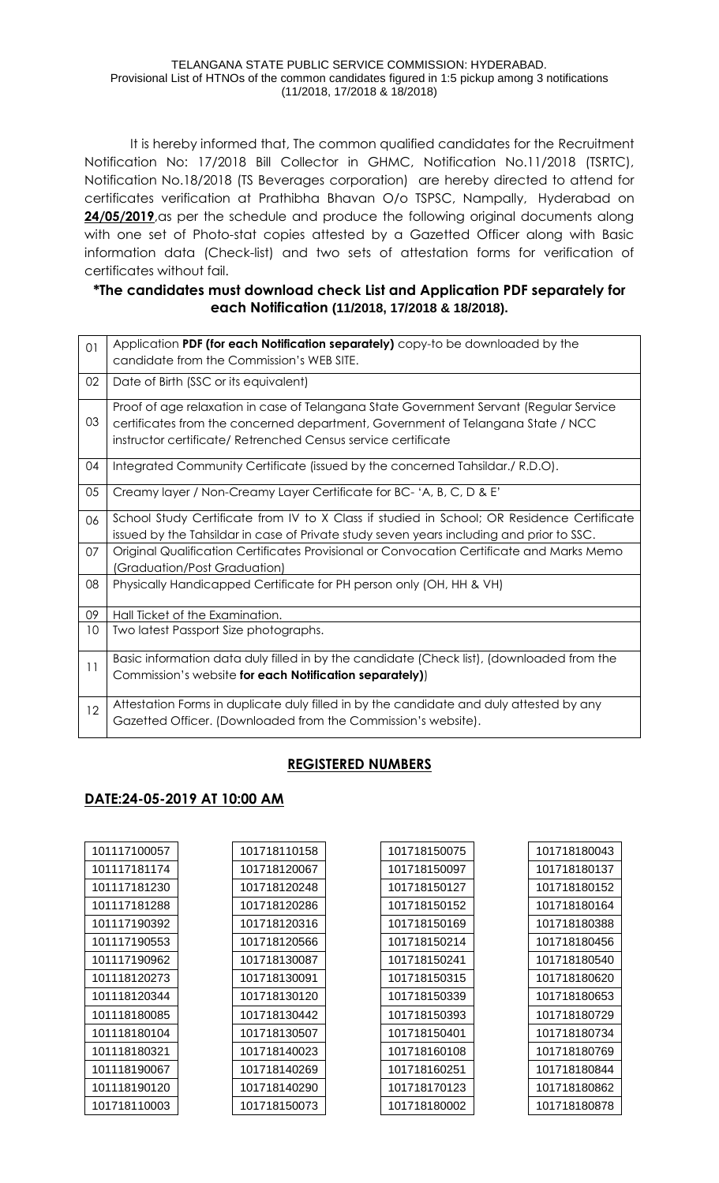It is hereby informed that, The common qualified candidates for the Recruitment Notification No: 17/2018 Bill Collector in GHMC, Notification No.11/2018 (TSRTC), Notification No.18/2018 (TS Beverages corporation) are hereby directed to attend for certificates verification at Prathibha Bhavan O/o TSPSC, Nampally,, Hyderabad on **24/05/2019**,as per the schedule and produce the following original documents along with one set of Photo-stat copies attested by a Gazetted Officer along with Basic information data (Check-list) and two sets of attestation forms for verification of certificates without fail.

## **\*The candidates must download check List and Application PDF separately for each Notification (11/2018, 17/2018 & 18/2018).**

| O <sub>1</sub> | Application PDF (for each Notification separately) copy-to be downloaded by the<br>candidate from the Commission's WEB SITE.                                                                                                               |
|----------------|--------------------------------------------------------------------------------------------------------------------------------------------------------------------------------------------------------------------------------------------|
| 02             | Date of Birth (SSC or its equivalent)                                                                                                                                                                                                      |
| 03             | Proof of age relaxation in case of Telangana State Government Servant (Regular Service<br>certificates from the concerned department, Government of Telangana State / NCC<br>instructor certificate/ Retrenched Census service certificate |
| 04             | Integrated Community Certificate (issued by the concerned Tahsildar./ R.D.O).                                                                                                                                                              |
| 05             | Creamy layer / Non-Creamy Layer Certificate for BC- 'A, B, C, D & E'                                                                                                                                                                       |
| 06             | School Study Certificate from IV to X Class if studied in School; OR Residence Certificate<br>issued by the Tahsildar in case of Private study seven years including and prior to SSC.                                                     |
| 07             | Original Qualification Certificates Provisional or Convocation Certificate and Marks Memo<br>(Graduation/Post Graduation)                                                                                                                  |
| 08             | Physically Handicapped Certificate for PH person only (OH, HH & VH)                                                                                                                                                                        |
| 09             | Hall Ticket of the Examination.                                                                                                                                                                                                            |
| 10             | Two latest Passport Size photographs.                                                                                                                                                                                                      |
| 11             | Basic information data duly filled in by the candidate (Check list), (downloaded from the<br>Commission's website for each Notification separately))                                                                                       |
| 12             | Attestation Forms in duplicate duly filled in by the candidate and duly attested by any<br>Gazetted Officer. (Downloaded from the Commission's website).                                                                                   |

## **REGISTERED NUMBERS**

## **DATE:24-05-2019 AT 10:00 AM**

| 101117100057 | 101718110158 |
|--------------|--------------|
| 101117181174 | 101718120067 |
| 101117181230 | 101718120248 |
| 101117181288 | 101718120286 |
| 101117190392 | 101718120316 |
| 101117190553 | 101718120566 |
| 101117190962 | 101718130087 |
| 101118120273 | 101718130091 |
| 101118120344 | 101718130120 |
| 101118180085 | 101718130442 |
| 101118180104 | 101718130507 |
| 101118180321 | 101718140023 |
| 101118190067 | 101718140269 |
| 101118190120 | 101718140290 |
| 101718110003 | 101718150073 |

| 101718150075 |
|--------------|
| 101718150097 |
| 101718150127 |
| 101718150152 |
| 101718150169 |
| 101718150214 |
| 101718150241 |
| 101718150315 |
| 101718150339 |
| 101718150393 |
| 101718150401 |
| 101718160108 |
| 101718160251 |
| 101718170123 |
| 101718180002 |

| 101718180043 |
|--------------|
| 101718180137 |
| 101718180152 |
| 101718180164 |
| 101718180388 |
| 101718180456 |
| 101718180540 |
| 101718180620 |
| 101718180653 |
| 101718180729 |
| 101718180734 |
| 101718180769 |
| 101718180844 |
| 101718180862 |
| 101718180878 |